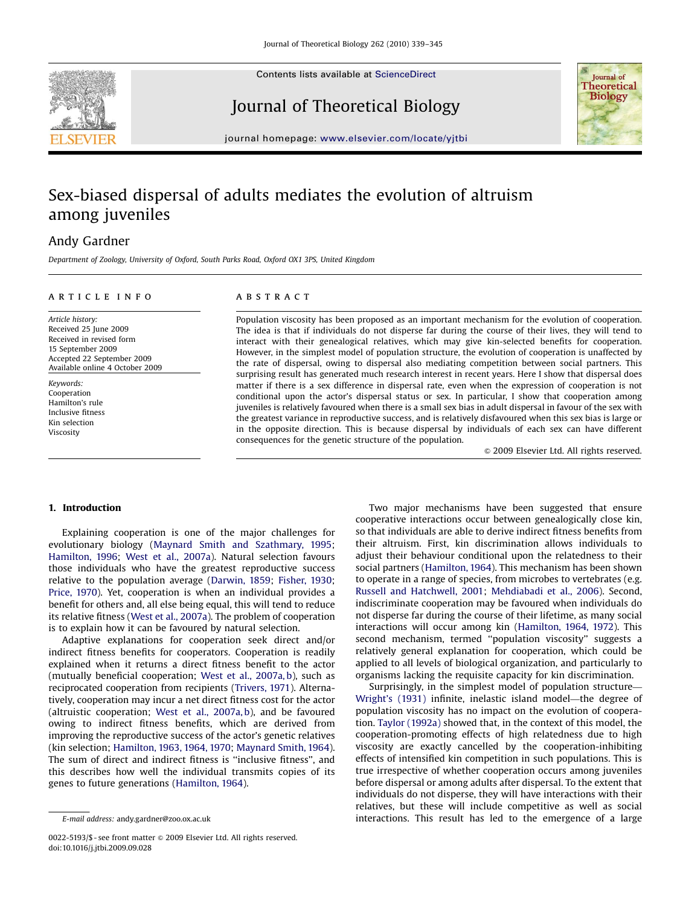

Contents lists available at ScienceDirect

Journal of Theoretical Biology



journal homepage: <www.elsevier.com/locate/yjtbi>

# Sex-biased dispersal of adults mediates the evolution of altruism among juveniles

## Andy Gardner

Department of Zoology, University of Oxford, South Parks Road, Oxford OX1 3PS, United Kingdom

#### article info

Article history: Received 25 June 2009 Received in revised form 15 September 2009 Accepted 22 September 2009 Available online 4 October 2009

Keywords: Cooperation Hamilton's rule Inclusive fitness Kin selection Viscosity

## ABSTRACT

Population viscosity has been proposed as an important mechanism for the evolution of cooperation. The idea is that if individuals do not disperse far during the course of their lives, they will tend to interact with their genealogical relatives, which may give kin-selected benefits for cooperation. However, in the simplest model of population structure, the evolution of cooperation is unaffected by the rate of dispersal, owing to dispersal also mediating competition between social partners. This surprising result has generated much research interest in recent years. Here I show that dispersal does matter if there is a sex difference in dispersal rate, even when the expression of cooperation is not conditional upon the actor's dispersal status or sex. In particular, I show that cooperation among juveniles is relatively favoured when there is a small sex bias in adult dispersal in favour of the sex with the greatest variance in reproductive success, and is relatively disfavoured when this sex bias is large or in the opposite direction. This is because dispersal by individuals of each sex can have different consequences for the genetic structure of the population.

 $\circ$  2009 Elsevier Ltd. All rights reserved.

### 1. Introduction

Explaining cooperation is one of the major challenges for evolutionary biology ([Maynard Smith and Szathmary, 1995;](#page-6-0) [Hamilton, 1996;](#page-6-0) [West et al., 2007a\)](#page-6-0). Natural selection favours those individuals who have the greatest reproductive success relative to the population average ([Darwin, 1859](#page-6-0); [Fisher, 1930;](#page-6-0) [Price, 1970](#page-6-0)). Yet, cooperation is when an individual provides a benefit for others and, all else being equal, this will tend to reduce its relative fitness ([West et al., 2007a\)](#page-6-0). The problem of cooperation is to explain how it can be favoured by natural selection.

Adaptive explanations for cooperation seek direct and/or indirect fitness benefits for cooperators. Cooperation is readily explained when it returns a direct fitness benefit to the actor (mutually beneficial cooperation; [West et al., 2007a, b\)](#page-6-0), such as reciprocated cooperation from recipients ([Trivers, 1971](#page-6-0)). Alternatively, cooperation may incur a net direct fitness cost for the actor (altruistic cooperation; [West et al., 2007a, b\)](#page-6-0), and be favoured owing to indirect fitness benefits, which are derived from improving the reproductive success of the actor's genetic relatives (kin selection; [Hamilton, 1963, 1964, 1970](#page-6-0); [Maynard Smith, 1964\)](#page-6-0). The sum of direct and indirect fitness is ''inclusive fitness'', and this describes how well the individual transmits copies of its genes to future generations [\(Hamilton, 1964\)](#page-6-0).

Two major mechanisms have been suggested that ensure cooperative interactions occur between genealogically close kin, so that individuals are able to derive indirect fitness benefits from their altruism. First, kin discrimination allows individuals to adjust their behaviour conditional upon the relatedness to their social partners [\(Hamilton, 1964\)](#page-6-0). This mechanism has been shown to operate in a range of species, from microbes to vertebrates (e.g. [Russell and Hatchwell, 2001;](#page-6-0) [Mehdiabadi et al., 2006\)](#page-6-0). Second, indiscriminate cooperation may be favoured when individuals do not disperse far during the course of their lifetime, as many social interactions will occur among kin ([Hamilton, 1964, 1972\)](#page-6-0). This second mechanism, termed ''population viscosity'' suggests a relatively general explanation for cooperation, which could be applied to all levels of biological organization, and particularly to organisms lacking the requisite capacity for kin discrimination.

Surprisingly, in the simplest model of population structure— [Wright's \(1931\)](#page-6-0) infinite, inelastic island model—the degree of population viscosity has no impact on the evolution of cooperation. [Taylor \(1992a\)](#page-6-0) showed that, in the context of this model, the cooperation-promoting effects of high relatedness due to high viscosity are exactly cancelled by the cooperation-inhibiting effects of intensified kin competition in such populations. This is true irrespective of whether cooperation occurs among juveniles before dispersal or among adults after dispersal. To the extent that individuals do not disperse, they will have interactions with their relatives, but these will include competitive as well as social interactions. This result has led to the emergence of a large

E-mail address: [andy.gardner@zoo.ox.ac.uk](mailto:andy.gardner@zoo.ox.ac.uk)

<sup>0022-5193/\$ -</sup> see front matter  $\circ$  2009 Elsevier Ltd. All rights reserved. doi:[10.1016/j.jtbi.2009.09.028](dx.doi.org/10.1016/j.jtbi.2009.09.028)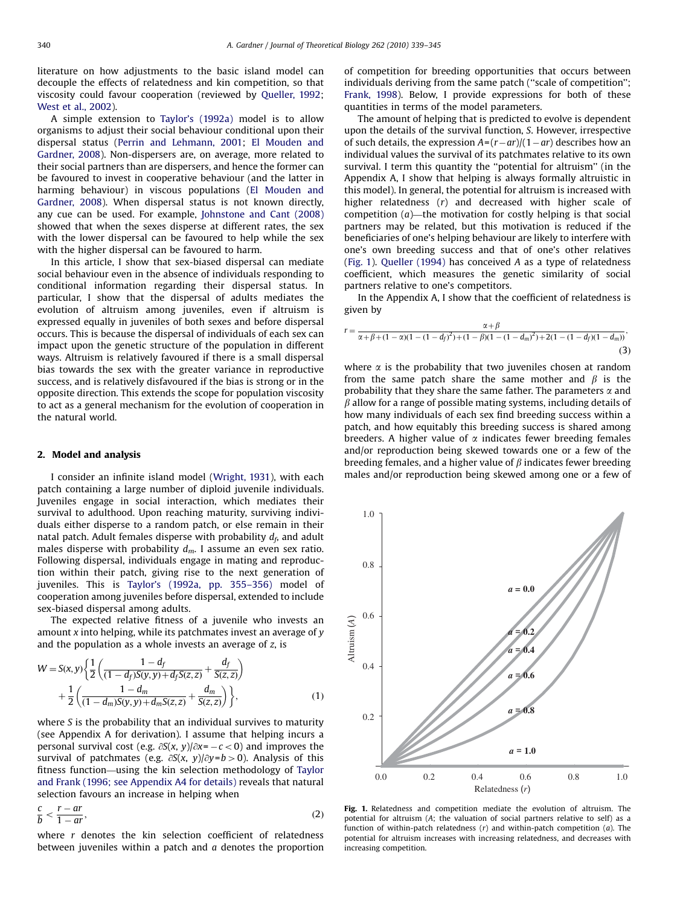<span id="page-1-0"></span>literature on how adjustments to the basic island model can decouple the effects of relatedness and kin competition, so that viscosity could favour cooperation (reviewed by [Queller, 1992;](#page-6-0) [West et al., 2002\)](#page-6-0).

A simple extension to [Taylor's \(1992a\)](#page-6-0) model is to allow organisms to adjust their social behaviour conditional upon their dispersal status [\(Perrin and Lehmann, 2001](#page-6-0); [El Mouden and](#page-6-0) [Gardner, 2008](#page-6-0)). Non-dispersers are, on average, more related to their social partners than are dispersers, and hence the former can be favoured to invest in cooperative behaviour (and the latter in harming behaviour) in viscous populations [\(El Mouden and](#page-6-0) [Gardner, 2008](#page-6-0)). When dispersal status is not known directly, any cue can be used. For example, [Johnstone and Cant \(2008\)](#page-6-0) showed that when the sexes disperse at different rates, the sex with the lower dispersal can be favoured to help while the sex with the higher dispersal can be favoured to harm.

In this article, I show that sex-biased dispersal can mediate social behaviour even in the absence of individuals responding to conditional information regarding their dispersal status. In particular, I show that the dispersal of adults mediates the evolution of altruism among juveniles, even if altruism is expressed equally in juveniles of both sexes and before dispersal occurs. This is because the dispersal of individuals of each sex can impact upon the genetic structure of the population in different ways. Altruism is relatively favoured if there is a small dispersal bias towards the sex with the greater variance in reproductive success, and is relatively disfavoured if the bias is strong or in the opposite direction. This extends the scope for population viscosity to act as a general mechanism for the evolution of cooperation in the natural world.

#### 2. Model and analysis

I consider an infinite island model ([Wright, 1931\)](#page-6-0), with each patch containing a large number of diploid juvenile individuals. Juveniles engage in social interaction, which mediates their survival to adulthood. Upon reaching maturity, surviving individuals either disperse to a random patch, or else remain in their natal patch. Adult females disperse with probability  $d_f$ , and adult males disperse with probability  $d_m$ . I assume an even sex ratio. Following dispersal, individuals engage in mating and reproduction within their patch, giving rise to the next generation of juveniles. This is [Taylor's \(1992a, pp. 355–356\)](#page-6-0) model of cooperation among juveniles before dispersal, extended to include sex-biased dispersal among adults.

The expected relative fitness of a juvenile who invests an amount  $x$  into helping, while its patchmates invest an average of  $y$ and the population as a whole invests an average of z, is

$$
W = S(x, y) \left\{ \frac{1}{2} \left( \frac{1 - d_f}{(1 - d_f)S(y, y) + d_f S(z, z)} + \frac{d_f}{S(z, z)} \right) + \frac{1}{2} \left( \frac{1 - d_m}{(1 - d_m)S(y, y) + d_m S(z, z)} + \frac{d_m}{S(z, z)} \right) \right\},
$$
(1)

where S is the probability that an individual survives to maturity (see Appendix A for derivation). I assume that helping incurs a personal survival cost (e.g.  $\partial S(x, y)/\partial x = -c < 0$ ) and improves the survival of patchmates (e.g.  $\partial S(x, y)/\partial y = b > 0$ ). Analysis of this fitness function—using the kin selection methodology of [Taylor](#page-6-0) [and Frank \(1996; see Appendix A4 for details\)](#page-6-0) reveals that natural selection favours an increase in helping when

$$
\frac{c}{b} < \frac{r - ar}{1 - ar},\tag{2}
$$

where  $r$  denotes the kin selection coefficient of relatedness between juveniles within a patch and  $a$  denotes the proportion of competition for breeding opportunities that occurs between individuals deriving from the same patch ("scale of competition"; [Frank, 1998](#page-6-0)). Below, I provide expressions for both of these quantities in terms of the model parameters.

The amount of helping that is predicted to evolve is dependent upon the details of the survival function, S. However, irrespective of such details, the expression  $A=(r-ar)/(1-ar)$  describes how an individual values the survival of its patchmates relative to its own survival. I term this quantity the ''potential for altruism'' (in the Appendix A, I show that helping is always formally altruistic in this model). In general, the potential for altruism is increased with higher relatedness (r) and decreased with higher scale of competition  $(a)$ —the motivation for costly helping is that social partners may be related, but this motivation is reduced if the beneficiaries of one's helping behaviour are likely to interfere with one's own breeding success and that of one's other relatives (Fig. 1). [Queller \(1994\)](#page-6-0) has conceived A as a type of relatedness coefficient, which measures the genetic similarity of social partners relative to one's competitors.

In the Appendix A, I show that the coefficient of relatedness is given by

$$
r = \frac{\alpha + \beta}{\alpha + \beta + (1 - \alpha)(1 - (1 - d_f)^2) + (1 - \beta)(1 - (1 - d_m)^2) + 2(1 - (1 - d_f)(1 - d_m))}
$$
\n(3)

where  $\alpha$  is the probability that two juveniles chosen at random from the same patch share the same mother and  $\beta$  is the probability that they share the same father. The parameters  $\alpha$  and  $\beta$  allow for a range of possible mating systems, including details of how many individuals of each sex find breeding success within a patch, and how equitably this breeding success is shared among breeders. A higher value of  $\alpha$  indicates fewer breeding females and/or reproduction being skewed towards one or a few of the breeding females, and a higher value of  $\beta$  indicates fewer breeding males and/or reproduction being skewed among one or a few of



Fig. 1. Relatedness and competition mediate the evolution of altruism. The potential for altruism (A; the valuation of social partners relative to self) as a function of within-patch relatedness  $(r)$  and within-patch competition  $(a)$ . The potential for altruism increases with increasing relatedness, and decreases with increasing competition.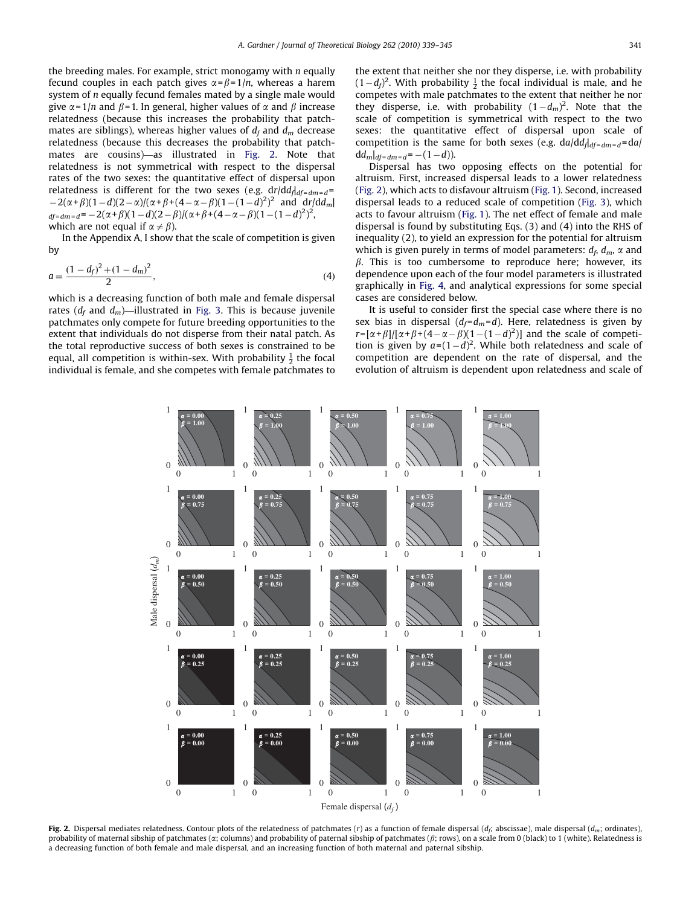the breeding males. For example, strict monogamy with  $n$  equally fecund couples in each patch gives  $\alpha = \beta = 1/n$ , whereas a harem system of  $n$  equally fecund females mated by a single male would give  $\alpha$ =1/*n* and  $\beta$ =1. In general, higher values of  $\alpha$  and  $\beta$  increase relatedness (because this increases the probability that patchmates are siblings), whereas higher values of  $d_f$  and  $d_m$  decrease relatedness (because this decreases the probability that patchmates are cousins)—as illustrated in Fig. 2. Note that relatedness is not symmetrical with respect to the dispersal rates of the two sexes: the quantitative effect of dispersal upon relatedness is different for the two sexes (e.g.  $dr/dd_f|_{df=dm=d}$ =  $-2(\alpha+\beta)(1-d)(2-\alpha)/(\alpha+\beta+(4-\alpha-\beta)(1-(1-d)^2)^2$  and dr/dd<sub>m</sub>|  $_{df=dm=d}$  = -2( $\alpha$ + $\beta$ )(1 - d)(2 -  $\beta$ )/( $\alpha$ + $\beta$ +(4 -  $\alpha$  -  $\beta$ )(1 - (1 - d)<sup>2</sup>)<sup>2</sup>, which are not equal if  $\alpha \neq \beta$ ).

In the Appendix A, I show that the scale of competition is given by

$$
a = \frac{(1 - d_f)^2 + (1 - d_m)^2}{2},\tag{4}
$$

which is a decreasing function of both male and female dispersal rates ( $d_f$  and  $d_m$ )—illustrated in [Fig. 3](#page-3-0). This is because juvenile patchmates only compete for future breeding opportunities to the extent that individuals do not disperse from their natal patch. As the total reproductive success of both sexes is constrained to be equal, all competition is within-sex. With probability  $\frac{1}{2}$  the focal individual is female, and she competes with female patchmates to the extent that neither she nor they disperse, i.e. with probability  $(1-d_f)^2$ . With probability  $\frac{1}{2}$  the focal individual is male, and he competes with male patchmates to the extent that neither he nor they disperse, i.e. with probability  $(1-d_m)^2$ . Note that the scale of competition is symmetrical with respect to the two sexes: the quantitative effect of dispersal upon scale of competition is the same for both sexes (e.g.  $da/dd_{\text{dd}t=dm=d}=da/$  $\mathrm{d}d_{m}|_{df=dm=d} = -(1-d)$ ).

Dispersal has two opposing effects on the potential for altruism. First, increased dispersal leads to a lower relatedness (Fig. 2), which acts to disfavour altruism ([Fig. 1](#page-1-0)). Second, increased dispersal leads to a reduced scale of competition ([Fig. 3\)](#page-3-0), which acts to favour altruism ([Fig. 1\)](#page-1-0). The net effect of female and male dispersal is found by substituting Eqs. (3) and (4) into the RHS of inequality (2), to yield an expression for the potential for altruism which is given purely in terms of model parameters:  $d_f d_m$ ,  $\alpha$  and  $\beta$ . This is too cumbersome to reproduce here; however, its dependence upon each of the four model parameters is illustrated graphically in [Fig. 4,](#page-4-0) and analytical expressions for some special cases are considered below.

It is useful to consider first the special case where there is no sex bias in dispersal  $(d_f = d_m = d)$ . Here, relatedness is given by  $r = [\alpha + \beta]/[\alpha + \beta + (4 - \alpha - \beta)(1 - (1 - d)^2)]$  and the scale of competition is given by  $a=(1-d)^2$ . While both relatedness and scale of competition are dependent on the rate of dispersal, and the evolution of altruism is dependent upon relatedness and scale of



Fig. 2. Dispersal mediates relatedness. Contour plots of the relatedness of patchmates (r) as a function of female dispersal (d<sub>f</sub>; abscissae), male dispersal ( $d_m$ ; ordinates), probability of maternal sibship of patchmates ( $\alpha$ ; columns) and probability of paternal sibship of patchmates ( $\beta$ ; rows), on a scale from 0 (black) to 1 (white). Relatedness is a decreasing function of both female and male dispersal, and an increasing function of both maternal and paternal sibship.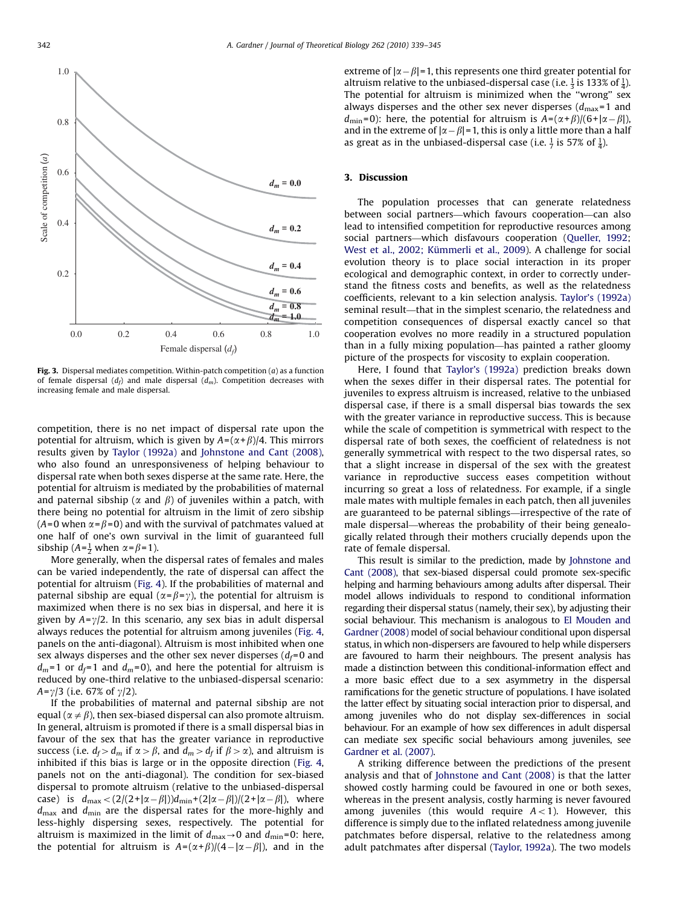<span id="page-3-0"></span>

Fig. 3. Dispersal mediates competition. Within-patch competition  $(a)$  as a function of female dispersal  $(d_f)$  and male dispersal  $(d_m)$ . Competition decreases with increasing female and male dispersal.

competition, there is no net impact of dispersal rate upon the potential for altruism, which is given by  $A = (\alpha + \beta)/4$ . This mirrors results given by [Taylor \(1992a\)](#page-6-0) and [Johnstone and Cant \(2008\),](#page-6-0) who also found an unresponsiveness of helping behaviour to dispersal rate when both sexes disperse at the same rate. Here, the potential for altruism is mediated by the probabilities of maternal and paternal sibship ( $\alpha$  and  $\beta$ ) of juveniles within a patch, with there being no potential for altruism in the limit of zero sibship  $(A=0$  when  $\alpha = \beta = 0$ ) and with the survival of patchmates valued at one half of one's own survival in the limit of guaranteed full sibship  $(A=\frac{1}{2}$  when  $\alpha = \beta = 1$ ).

More generally, when the dispersal rates of females and males can be varied independently, the rate of dispersal can affect the potential for altruism ([Fig. 4](#page-4-0)). If the probabilities of maternal and paternal sibship are equal ( $\alpha = \beta = \gamma$ ), the potential for altruism is maximized when there is no sex bias in dispersal, and here it is given by  $A=\gamma/2$ . In this scenario, any sex bias in adult dispersal always reduces the potential for altruism among juveniles [\(Fig. 4,](#page-4-0) panels on the anti-diagonal). Altruism is most inhibited when one sex always disperses and the other sex never disperses  $(d_f=0)$  and  $d_m$ =1 or  $d_f$ =1 and  $d_m$ =0), and here the potential for altruism is reduced by one-third relative to the unbiased-dispersal scenario:  $A = \gamma/3$  (i.e. 67% of  $\gamma/2$ ).

If the probabilities of maternal and paternal sibship are not equal ( $\alpha \neq \beta$ ), then sex-biased dispersal can also promote altruism. In general, altruism is promoted if there is a small dispersal bias in favour of the sex that has the greater variance in reproductive success (i.e.  $d_f > d_m$  if  $\alpha > \beta$ , and  $d_m > d_f$  if  $\beta > \alpha$ ), and altruism is inhibited if this bias is large or in the opposite direction ([Fig. 4,](#page-4-0) panels not on the anti-diagonal). The condition for sex-biased dispersal to promote altruism (relative to the unbiased-dispersal case) is  $d_{\text{max}} < (2/(2 + |\alpha - \beta|))d_{\text{min}} + (2|\alpha - \beta|)/(2 + |\alpha - \beta|)$ , where  $d_{\text{max}}$  and  $d_{\text{min}}$  are the dispersal rates for the more-highly and less-highly dispersing sexes, respectively. The potential for altruism is maximized in the limit of  $d_{\text{max}} \rightarrow 0$  and  $d_{\text{min}} = 0$ : here, the potential for altruism is  $A = (\alpha + \beta)/(4 - |\alpha - \beta|)$ , and in the

extreme of  $|\alpha-\beta|=1$ , this represents one third greater potential for altruism relative to the unbiased-dispersal case (i.e.  $\frac{1}{3}$  is 133% of  $\frac{1}{4}$ ). The potential for altruism is minimized when the ''wrong'' sex always disperses and the other sex never disperses  $(d_{\text{max}}=1$  and  $d_{\text{min}}=0$ : here, the potential for altruism is  $A=(\alpha+\beta)/(6+|\alpha-\beta|)$ , and in the extreme of  $|\alpha-\beta|=1$ , this is only a little more than a half as great as in the unbiased-dispersal case (i.e.  $\frac{1}{7}$  is 57% of  $\frac{1}{4}$ ).

#### 3. Discussion

The population processes that can generate relatedness between social partners—which favours cooperation—can also lead to intensified competition for reproductive resources among social partners—which disfavours cooperation ([Queller, 1992;](#page-6-0) West et al., 2002; Kümmerli et al., 2009). A challenge for social evolution theory is to place social interaction in its proper ecological and demographic context, in order to correctly understand the fitness costs and benefits, as well as the relatedness coefficients, relevant to a kin selection analysis. [Taylor's \(1992a\)](#page-6-0) seminal result—that in the simplest scenario, the relatedness and competition consequences of dispersal exactly cancel so that cooperation evolves no more readily in a structured population than in a fully mixing population—has painted a rather gloomy picture of the prospects for viscosity to explain cooperation.

Here, I found that [Taylor's \(1992a\)](#page-6-0) prediction breaks down when the sexes differ in their dispersal rates. The potential for juveniles to express altruism is increased, relative to the unbiased dispersal case, if there is a small dispersal bias towards the sex with the greater variance in reproductive success. This is because while the scale of competition is symmetrical with respect to the dispersal rate of both sexes, the coefficient of relatedness is not generally symmetrical with respect to the two dispersal rates, so that a slight increase in dispersal of the sex with the greatest variance in reproductive success eases competition without incurring so great a loss of relatedness. For example, if a single male mates with multiple females in each patch, then all juveniles are guaranteed to be paternal siblings—irrespective of the rate of male dispersal—whereas the probability of their being genealogically related through their mothers crucially depends upon the rate of female dispersal.

This result is similar to the prediction, made by [Johnstone and](#page-6-0) [Cant \(2008\),](#page-6-0) that sex-biased dispersal could promote sex-specific helping and harming behaviours among adults after dispersal. Their model allows individuals to respond to conditional information regarding their dispersal status (namely, their sex), by adjusting their social behaviour. This mechanism is analogous to [El Mouden and](#page-6-0) [Gardner \(2008\)](#page-6-0) model of social behaviour conditional upon dispersal status, in which non-dispersers are favoured to help while dispersers are favoured to harm their neighbours. The present analysis has made a distinction between this conditional-information effect and a more basic effect due to a sex asymmetry in the dispersal ramifications for the genetic structure of populations. I have isolated the latter effect by situating social interaction prior to dispersal, and among juveniles who do not display sex-differences in social behaviour. For an example of how sex differences in adult dispersal can mediate sex specific social behaviours among juveniles, see [Gardner et al. \(2007\).](#page-6-0)

A striking difference between the predictions of the present analysis and that of [Johnstone and Cant \(2008\)](#page-6-0) is that the latter showed costly harming could be favoured in one or both sexes, whereas in the present analysis, costly harming is never favoured among juveniles (this would require  $A < 1$ ). However, this difference is simply due to the inflated relatedness among juvenile patchmates before dispersal, relative to the relatedness among adult patchmates after dispersal [\(Taylor, 1992a\)](#page-6-0). The two models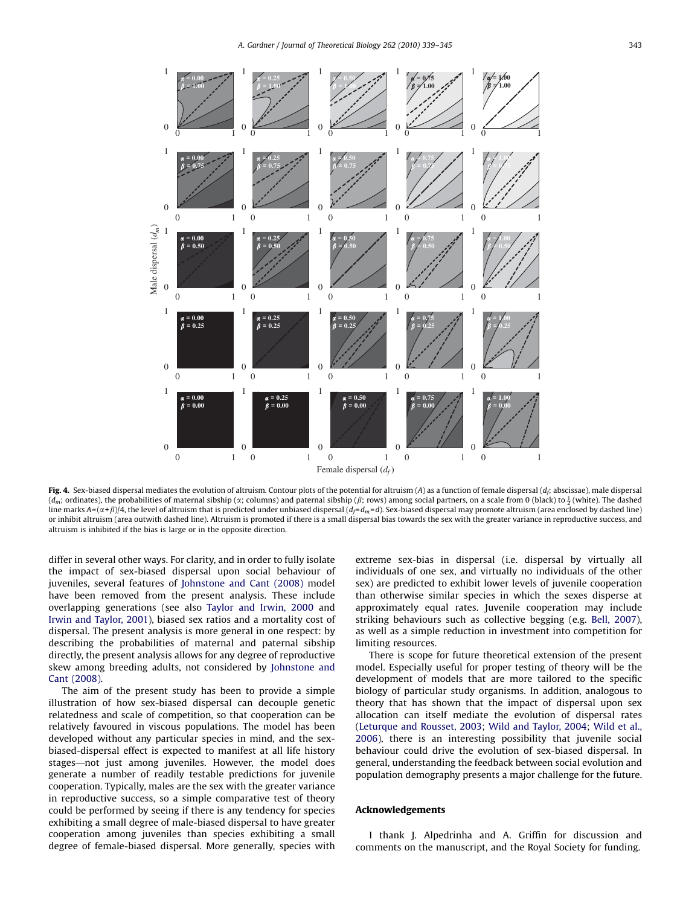<span id="page-4-0"></span>

Fig. 4. Sex-biased dispersal mediates the evolution of altruism. Contour plots of the potential for altruism  $(A)$  as a function of female dispersal  $(d_{\epsilon})$  abscissae), male dispersal ( $d_m$ ; ordinates), the probabilities of maternal sibship (x; columns) and paternal sibship ( $\beta$ ; rows) among social partners, on a scale from 0 (black) to  $\frac{1}{2}$  (white). The dashed line marks  $A = (\alpha + \beta)/4$ , the level of altruism that is predicted under unbiased dispersal  $(d_f = d_m = d)$ . Sex-biased dispersal may promote altruism (area enclosed by dashed line) or inhibit altruism (area outwith dashed line). Altruism is promoted if there is a small dispersal bias towards the sex with the greater variance in reproductive success, and altruism is inhibited if the bias is large or in the opposite direction.

differ in several other ways. For clarity, and in order to fully isolate the impact of sex-biased dispersal upon social behaviour of juveniles, several features of [Johnstone and Cant \(2008\)](#page-6-0) model have been removed from the present analysis. These include overlapping generations (see also [Taylor and Irwin, 2000](#page-6-0) and [Irwin and Taylor, 2001](#page-6-0)), biased sex ratios and a mortality cost of dispersal. The present analysis is more general in one respect: by describing the probabilities of maternal and paternal sibship directly, the present analysis allows for any degree of reproductive skew among breeding adults, not considered by [Johnstone and](#page-6-0) [Cant \(2008\)](#page-6-0).

The aim of the present study has been to provide a simple illustration of how sex-biased dispersal can decouple genetic relatedness and scale of competition, so that cooperation can be relatively favoured in viscous populations. The model has been developed without any particular species in mind, and the sexbiased-dispersal effect is expected to manifest at all life history stages—not just among juveniles. However, the model does generate a number of readily testable predictions for juvenile cooperation. Typically, males are the sex with the greater variance in reproductive success, so a simple comparative test of theory could be performed by seeing if there is any tendency for species exhibiting a small degree of male-biased dispersal to have greater cooperation among juveniles than species exhibiting a small degree of female-biased dispersal. More generally, species with extreme sex-bias in dispersal (i.e. dispersal by virtually all individuals of one sex, and virtually no individuals of the other sex) are predicted to exhibit lower levels of juvenile cooperation than otherwise similar species in which the sexes disperse at approximately equal rates. Juvenile cooperation may include striking behaviours such as collective begging (e.g. [Bell, 2007\)](#page-6-0), as well as a simple reduction in investment into competition for limiting resources.

There is scope for future theoretical extension of the present model. Especially useful for proper testing of theory will be the development of models that are more tailored to the specific biology of particular study organisms. In addition, analogous to theory that has shown that the impact of dispersal upon sex allocation can itself mediate the evolution of dispersal rates ([Leturque and Rousset, 2003](#page-6-0); [Wild and Taylor, 2004](#page-6-0); [Wild et al.,](#page-6-0) [2006\)](#page-6-0), there is an interesting possibility that juvenile social behaviour could drive the evolution of sex-biased dispersal. In general, understanding the feedback between social evolution and population demography presents a major challenge for the future.

#### Acknowledgements

I thank J. Alpedrinha and A. Griffin for discussion and comments on the manuscript, and the Royal Society for funding.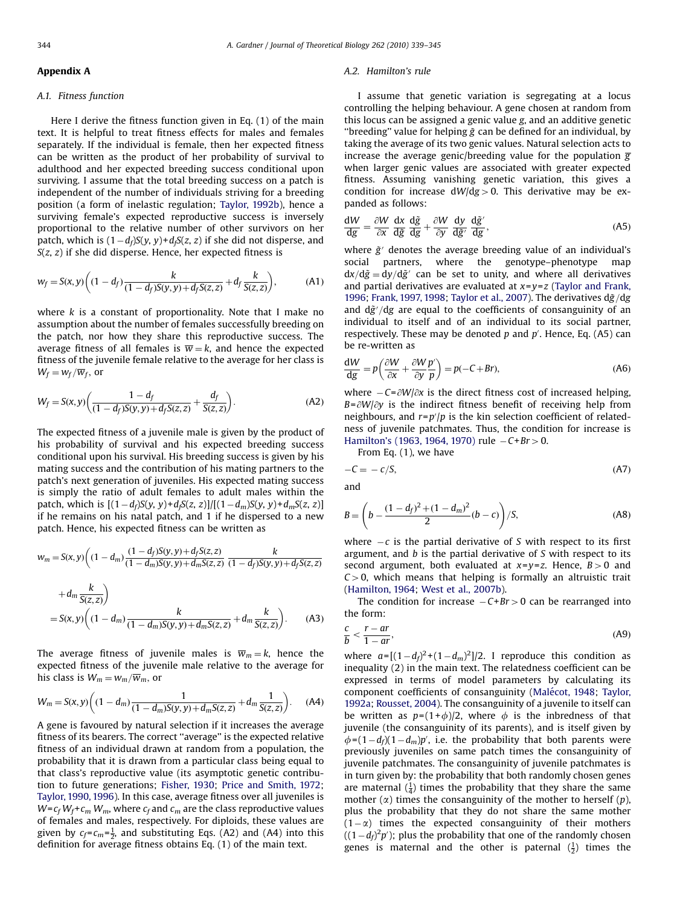#### Appendix A

#### A.1. Fitness function

Here I derive the fitness function given in Eq. (1) of the main text. It is helpful to treat fitness effects for males and females separately. If the individual is female, then her expected fitness can be written as the product of her probability of survival to adulthood and her expected breeding success conditional upon surviving. I assume that the total breeding success on a patch is independent of the number of individuals striving for a breeding position (a form of inelastic regulation; [Taylor, 1992b\)](#page-6-0), hence a surviving female's expected reproductive success is inversely proportional to the relative number of other survivors on her patch, which is  $(1-d_f)S(y, y)$ + $d_fS(z, z)$  if she did not disperse, and  $S(z, z)$  if she did disperse. Hence, her expected fitness is

$$
w_f = S(x, y) \left( (1 - d_f) \frac{k}{(1 - d_f)S(y, y) + d_f S(z, z)} + d_f \frac{k}{S(z, z)} \right),
$$
 (A1)

where  $k$  is a constant of proportionality. Note that I make no assumption about the number of females successfully breeding on the patch, nor how they share this reproductive success. The average fitness of all females is  $\overline{w} = k$ , and hence the expected fitness of the juvenile female relative to the average for her class is  $W_f = w_f / \overline{w}_f$ , or

$$
W_f = S(x, y) \left( \frac{1 - d_f}{(1 - d_f)S(y, y) + d_f S(z, z)} + \frac{d_f}{S(z, z)} \right).
$$
 (A2)

The expected fitness of a juvenile male is given by the product of his probability of survival and his expected breeding success conditional upon his survival. His breeding success is given by his mating success and the contribution of his mating partners to the patch's next generation of juveniles. His expected mating success is simply the ratio of adult females to adult males within the patch, which is  $[(1-d_f)S(y, y)+d_fS(z, z)]/[(1-d_m)S(y, y)+d_mS(z, z)]$ if he remains on his natal patch, and 1 if he dispersed to a new patch. Hence, his expected fitness can be written as

$$
w_m = S(x, y) \left( (1 - d_m) \frac{(1 - d_f)S(y, y) + d_f S(z, z)}{(1 - d_m)S(y, y) + d_m S(z, z)} \frac{k}{(1 - d_f)S(y, y) + d_f S(z, z)} + d_m \frac{k}{S(z, z)} \right)
$$
  
=  $S(x, y) \left( (1 - d_m) \frac{k}{(1 - d_m)S(y, y) + d_m S(z, z)} + d_m \frac{k}{S(z, z)} \right)$ . (A3)

The average fitness of juvenile males is  $\overline{w}_m = k$ , hence the expected fitness of the juvenile male relative to the average for his class is  $W_m = w_m/\overline{w}_m$ , or

$$
W_m = S(x, y) \left( (1 - d_m) \frac{1}{(1 - d_m)S(y, y) + d_m S(z, z)} + d_m \frac{1}{S(z, z)} \right). \tag{A4}
$$

A gene is favoured by natural selection if it increases the average fitness of its bearers. The correct ''average'' is the expected relative fitness of an individual drawn at random from a population, the probability that it is drawn from a particular class being equal to that class's reproductive value (its asymptotic genetic contribution to future generations; [Fisher, 1930;](#page-6-0) [Price and Smith, 1972;](#page-6-0) [Taylor, 1990, 1996\)](#page-6-0). In this case, average fitness over all juveniles is  $W = c_f W_f + c_m W_m$ , where  $c_f$  and  $c_m$  are the class reproductive values of females and males, respectively. For diploids, these values are given by  $c_f = c_m = \frac{1}{2}$ , and substituting Eqs. (A2) and (A4) into this definition for average fitness obtains Eq. (1) of the main text.

#### A.2. Hamilton's rule

I assume that genetic variation is segregating at a locus controlling the helping behaviour. A gene chosen at random from this locus can be assigned a genic value g, and an additive genetic "breeding" value for helping  $\tilde{g}$  can be defined for an individual, by taking the average of its two genic values. Natural selection acts to increase the average genic/breeding value for the population  $\bar{g}$ when larger genic values are associated with greater expected fitness. Assuming vanishing genetic variation, this gives a condition for increase  $dW/dg > 0$ . This derivative may be expanded as follows:

$$
\frac{dW}{dg} = \frac{\partial W}{\partial x} \frac{dx}{d\tilde{g}} \frac{d\tilde{g}}{dg} + \frac{\partial W}{\partial y} \frac{dy}{d\tilde{g}'} \frac{d\tilde{g}'}{dg},
$$
(A5)

where  $\tilde{g}$  denotes the average breeding value of an individual's social partners, where the genotype–phenotype map  $dx/d\tilde{g} = dy/d\tilde{g}'$  can be set to unity, and where all derivatives and partial derivatives are evaluated at  $x=y=z$  [\(Taylor and Frank,](#page-6-0) [1996](#page-6-0); [Frank, 1997, 1998](#page-6-0); [Taylor et al., 2007](#page-6-0)). The derivatives  $d\tilde{g}/dg$ and  $d\tilde{g}'/dg$  are equal to the coefficients of consanguinity of an individual to itself and of an individual to its social partner, respectively. These may be denoted  $p$  and  $p'$ . Hence, Eq. (A5) can be re-written as

$$
\frac{dW}{dg} = p\left(\frac{\partial W}{\partial x} + \frac{\partial W}{\partial y} \frac{p'}{p}\right) = p(-C + Br),\tag{A6}
$$

where  $-C = \partial W/\partial x$  is the direct fitness cost of increased helping,  $B = \partial W/\partial y$  is the indirect fitness benefit of receiving help from neighbours, and  $r = p'/p$  is the kin selection coefficient of relatedness of juvenile patchmates. Thus, the condition for increase is [Hamilton's \(1963, 1964, 1970\)](#page-6-0) rule  $-C+Br > 0$ .

From Eq. (1), we have  

$$
-C = -c/S,
$$
 (A7)

and

$$
B = \left(b - \frac{(1 - d_f)^2 + (1 - d_m)^2}{2}(b - c)\right) / S, \tag{A8}
$$

where  $-c$  is the partial derivative of S with respect to its first argument, and  $b$  is the partial derivative of  $S$  with respect to its second argument, both evaluated at  $x=y=z$ . Hence,  $B>0$  and  $C > 0$ , which means that helping is formally an altruistic trait ([Hamilton, 1964;](#page-6-0) [West et al., 2007b](#page-6-0)).

The condition for increase  $-C+Br > 0$  can be rearranged into the form:

$$
\frac{c}{b} < \frac{r - ar}{1 - ar},\tag{A9}
$$

where  $a = [(1-d_f)^2 + (1-d_m)^2]/2$ . I reproduce this condition as inequality (2) in the main text. The relatedness coefficient can be expressed in terms of model parameters by calculating its component coefficients of consanguinity (Malé[cot, 1948](#page-6-0); [Taylor,](#page-6-0) [1992a;](#page-6-0) [Rousset, 2004](#page-6-0)). The consanguinity of a juvenile to itself can be written as  $p=(1+\phi)/2$ , where  $\phi$  is the inbredness of that juvenile (the consanguinity of its parents), and is itself given by  $\phi = (1 - d_f)(1 - d_m)p'$ , i.e. the probability that both parents were previously juveniles on same patch times the consanguinity of juvenile patchmates. The consanguinity of juvenile patchmates is in turn given by: the probability that both randomly chosen genes are maternal  $(\frac{1}{4})$  times the probability that they share the same mother  $(\alpha)$  times the consanguinity of the mother to herself  $(p)$ , plus the probability that they do not share the same mother  $(1 - \alpha)$  times the expected consanguinity of their mothers  $((1-d_f)^2 p')$ ; plus the probability that one of the randomly chosen genes is maternal and the other is paternal  $(\frac{1}{2})$  times the